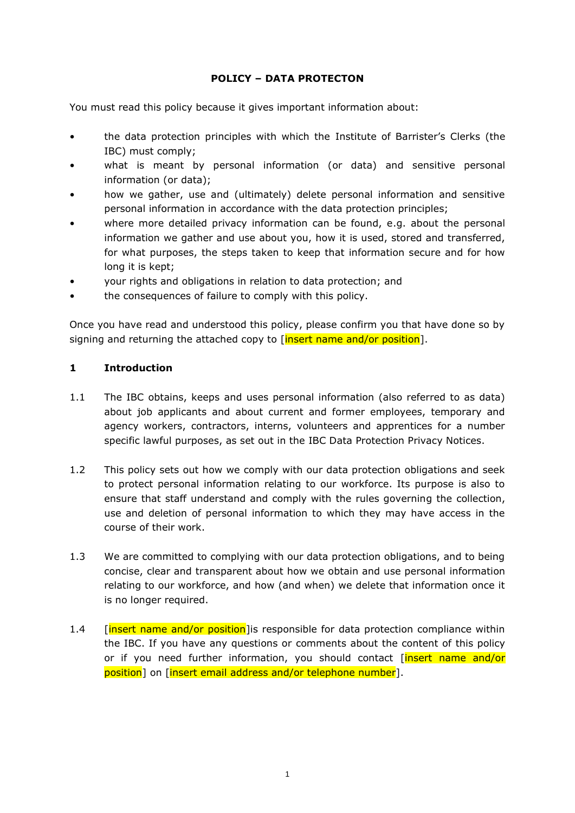# **POLICY – DATA PROTECTON**

You must read this policy because it gives important information about:

- the data protection principles with which the Institute of Barrister's Clerks (the IBC) must comply;
- what is meant by personal information (or data) and sensitive personal information (or data);
- how we gather, use and (ultimately) delete personal information and sensitive personal information in accordance with the data protection principles;
- where more detailed privacy information can be found, e.g. about the personal information we gather and use about you, how it is used, stored and transferred, for what purposes, the steps taken to keep that information secure and for how long it is kept;
- your rights and obligations in relation to data protection; and
- the consequences of failure to comply with this policy.

Once you have read and understood this policy, please confirm you that have done so by signing and returning the attached copy to [insert name and/or position].

# **1 Introduction**

- 1.1 The IBC obtains, keeps and uses personal information (also referred to as data) about job applicants and about current and former employees, temporary and agency workers, contractors, interns, volunteers and apprentices for a number specific lawful purposes, as set out in the IBC Data Protection Privacy Notices.
- 1.2 This policy sets out how we comply with our data protection obligations and seek to protect personal information relating to our workforce. Its purpose is also to ensure that staff understand and comply with the rules governing the collection, use and deletion of personal information to which they may have access in the course of their work.
- 1.3 We are committed to complying with our data protection obligations, and to being concise, clear and transparent about how we obtain and use personal information relating to our workforce, and how (and when) we delete that information once it is no longer required.
- 1.4 [insert name and/or position] is responsible for data protection compliance within the IBC. If you have any questions or comments about the content of this policy or if you need further information, you should contact *[insert name and/or* position] on [insert email address and/or telephone number].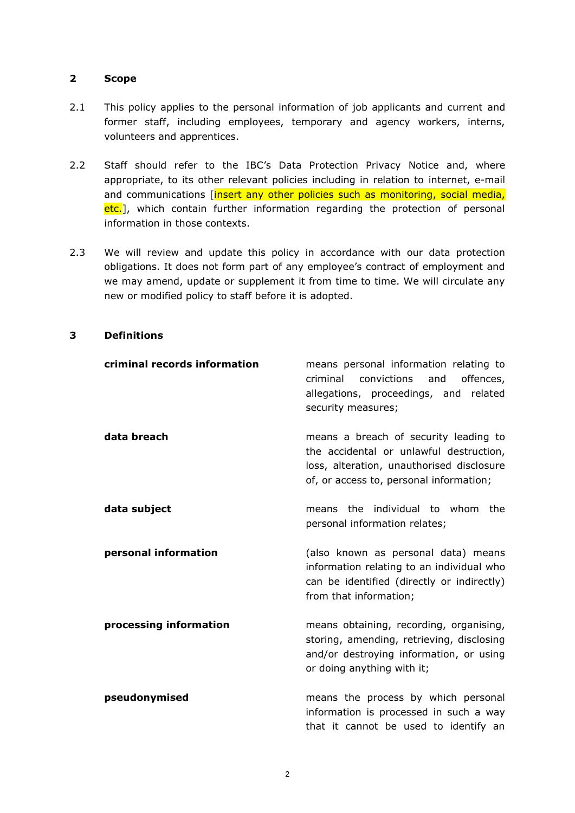### **2 Scope**

- 2.1 This policy applies to the personal information of job applicants and current and former staff, including employees, temporary and agency workers, interns, volunteers and apprentices.
- 2.2 Staff should refer to the IBC's Data Protection Privacy Notice and, where appropriate, to its other relevant policies including in relation to internet, e-mail and communications [insert any other policies such as monitoring, social media, etc.], which contain further information regarding the protection of personal information in those contexts.
- 2.3 We will review and update this policy in accordance with our data protection obligations. It does not form part of any employee's contract of employment and we may amend, update or supplement it from time to time. We will circulate any new or modified policy to staff before it is adopted.

# **3 Definitions**

| criminal records information | means personal information relating to<br>criminal<br>convictions<br>and<br>offences,<br>allegations, proceedings, and related<br>security measures;                     |
|------------------------------|--------------------------------------------------------------------------------------------------------------------------------------------------------------------------|
| data breach                  | means a breach of security leading to<br>the accidental or unlawful destruction,<br>loss, alteration, unauthorised disclosure<br>of, or access to, personal information; |
| data subject                 | the individual to whom the<br>means<br>personal information relates;                                                                                                     |
| personal information         | (also known as personal data) means<br>information relating to an individual who<br>can be identified (directly or indirectly)<br>from that information;                 |
| processing information       | means obtaining, recording, organising,<br>storing, amending, retrieving, disclosing<br>and/or destroying information, or using<br>or doing anything with it;            |
| pseudonymised                | means the process by which personal<br>information is processed in such a way<br>that it cannot be used to identify an                                                   |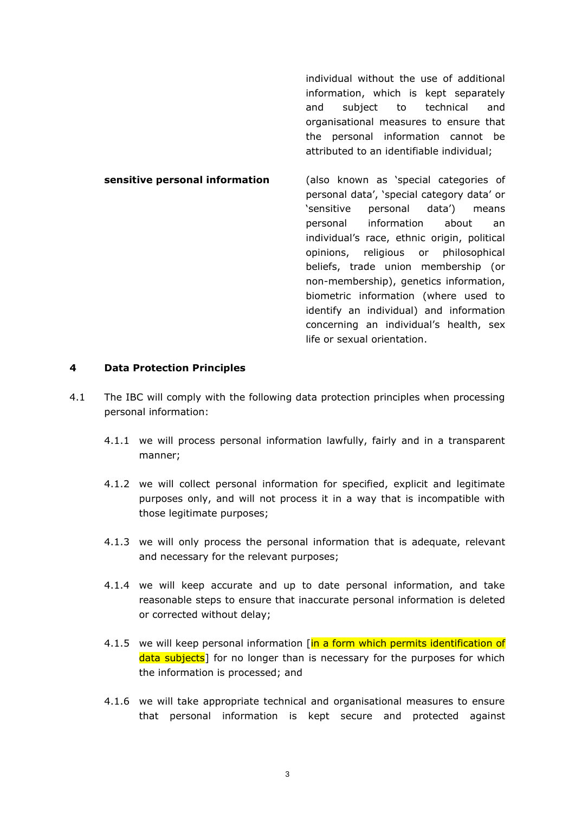individual without the use of additional information, which is kept separately and subject to technical and organisational measures to ensure that the personal information cannot be attributed to an identifiable individual;

**sensitive personal information** (also known as 'special categories of personal data', 'special category data' or 'sensitive personal data') means personal information about an individual's race, ethnic origin, political opinions, religious or philosophical beliefs, trade union membership (or non-membership), genetics information, biometric information (where used to identify an individual) and information concerning an individual's health, sex life or sexual orientation.

#### <span id="page-2-0"></span>**4 Data Protection Principles**

- <span id="page-2-1"></span>4.1 The IBC will comply with the following data protection principles when processing personal information:
	- 4.1.1 we will process personal information lawfully, fairly and in a transparent manner;
	- 4.1.2 we will collect personal information for specified, explicit and legitimate purposes only, and will not process it in a way that is incompatible with those legitimate purposes;
	- 4.1.3 we will only process the personal information that is adequate, relevant and necessary for the relevant purposes;
	- 4.1.4 we will keep accurate and up to date personal information, and take reasonable steps to ensure that inaccurate personal information is deleted or corrected without delay;
	- 4.1.5 we will keep personal information [in a form which permits identification of data subjects] for no longer than is necessary for the purposes for which the information is processed; and
	- 4.1.6 we will take appropriate technical and organisational measures to ensure that personal information is kept secure and protected against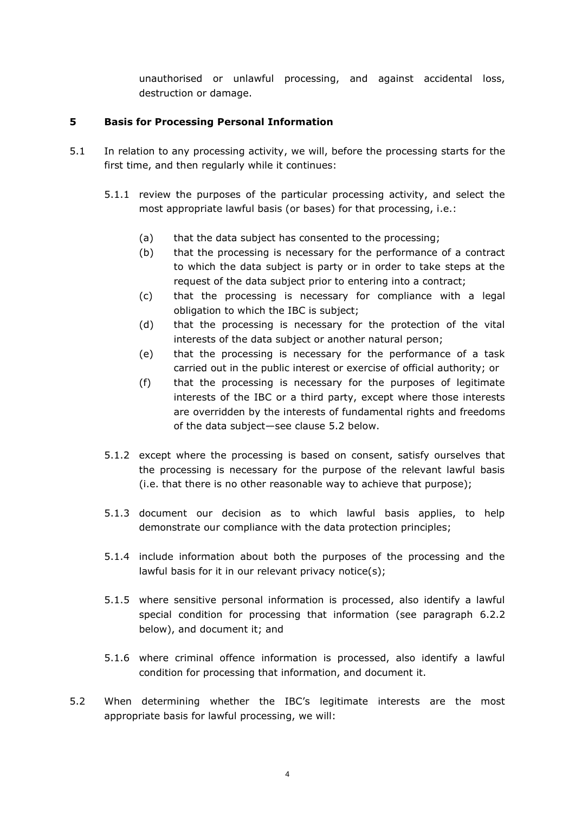<span id="page-3-1"></span>unauthorised or unlawful processing, and against accidental loss, destruction or damage.

## **5 Basis for Processing Personal Information**

- 5.1 In relation to any processing activity, we will, before the processing starts for the first time, and then regularly while it continues:
	- 5.1.1 review the purposes of the particular processing activity, and select the most appropriate lawful basis (or bases) for that processing, i.e.:
		- (a) that the data subject has consented to the processing;
		- (b) that the processing is necessary for the performance of a contract to which the data subject is party or in order to take steps at the request of the data subject prior to entering into a contract;
		- (c) that the processing is necessary for compliance with a legal obligation to which the IBC is subject;
		- (d) that the processing is necessary for the protection of the vital interests of the data subject or another natural person;
		- (e) that the processing is necessary for the performance of a task carried out in the public interest or exercise of official authority; or
		- (f) that the processing is necessary for the purposes of legitimate interests of the IBC or a third party, except where those interests are overridden by the interests of fundamental rights and freedoms of the data subject—see clause [5.2](#page-3-0) below.
	- 5.1.2 except where the processing is based on consent, satisfy ourselves that the processing is necessary for the purpose of the relevant lawful basis (i.e. that there is no other reasonable way to achieve that purpose);
	- 5.1.3 document our decision as to which lawful basis applies, to help demonstrate our compliance with the data protection principles;
	- 5.1.4 include information about both the purposes of the processing and the lawful basis for it in our relevant privacy notice(s);
	- 5.1.5 where sensitive personal information is processed, also identify a lawful special condition for processing that information (see paragraph [6.2.2](#page-4-0) below), and document it; and
	- 5.1.6 where criminal offence information is processed, also identify a lawful condition for processing that information, and document it.
- <span id="page-3-0"></span>5.2 When determining whether the IBC's legitimate interests are the most appropriate basis for lawful processing, we will: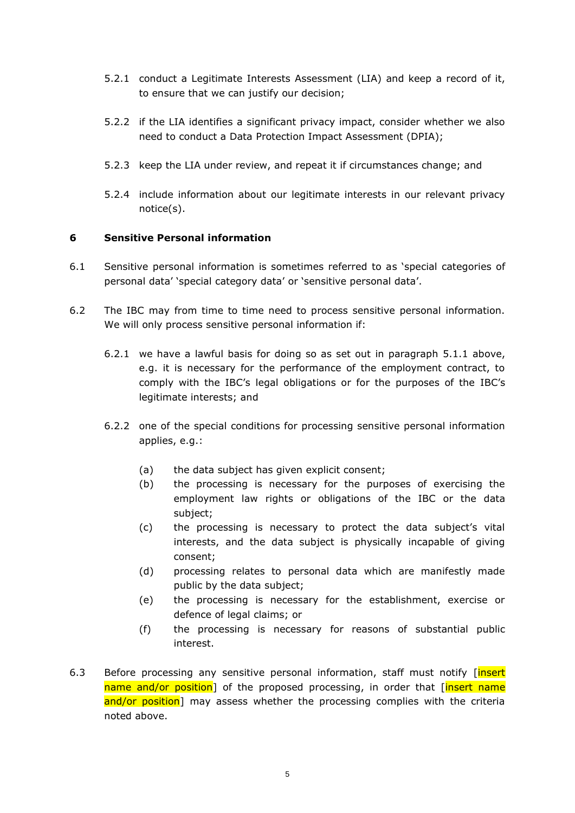- 5.2.1 conduct a Legitimate Interests Assessment (LIA) and keep a record of it, to ensure that we can justify our decision;
- 5.2.2 if the LIA identifies a significant privacy impact, consider whether we also need to conduct a Data Protection Impact Assessment (DPIA);
- 5.2.3 keep the LIA under review, and repeat it if circumstances change; and
- 5.2.4 include information about our legitimate interests in our relevant privacy notice(s).

## **6 Sensitive Personal information**

- 6.1 Sensitive personal information is sometimes referred to as 'special categories of personal data' 'special category data' or 'sensitive personal data'.
- <span id="page-4-0"></span>6.2 The IBC may from time to time need to process sensitive personal information. We will only process sensitive personal information if:
	- 6.2.1 we have a lawful basis for doing so as set out in paragraph [5.1.1](#page-3-1) above, e.g. it is necessary for the performance of the employment contract, to comply with the IBC's legal obligations or for the purposes of the IBC's legitimate interests; and
	- 6.2.2 one of the special conditions for processing sensitive personal information applies, e.g.:
		- (a) the data subject has given explicit consent;
		- (b) the processing is necessary for the purposes of exercising the employment law rights or obligations of the IBC or the data subject;
		- (c) the processing is necessary to protect the data subject's vital interests, and the data subject is physically incapable of giving consent;
		- (d) processing relates to personal data which are manifestly made public by the data subject;
		- (e) the processing is necessary for the establishment, exercise or defence of legal claims; or
		- (f) the processing is necessary for reasons of substantial public interest.
- <span id="page-4-1"></span>6.3 Before processing any sensitive personal information, staff must notify [insert] name and/or position] of the proposed processing, in order that *[insert name*] and/or position] may assess whether the processing complies with the criteria noted above.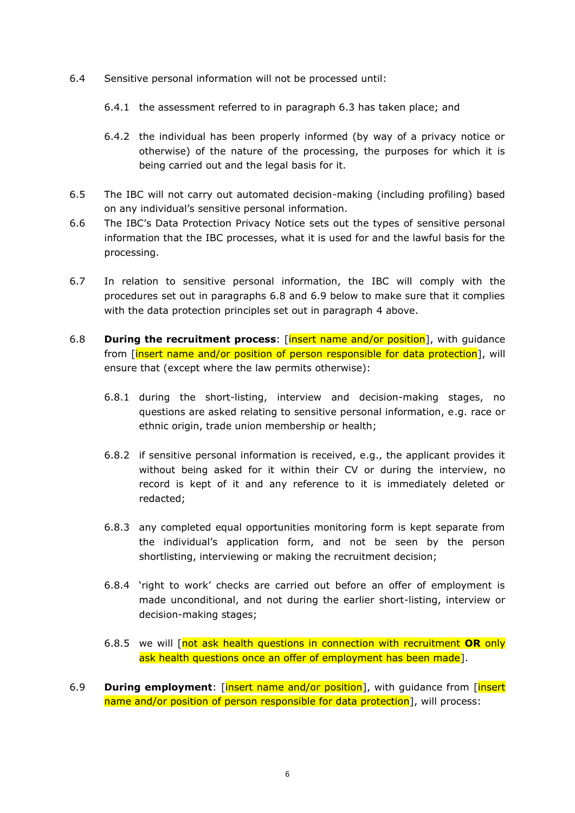- 6.4 Sensitive personal information will not be processed until:
	- 6.4.1 the assessment referred to in paragraph [6.3](#page-4-1) has taken place; and
	- 6.4.2 the individual has been properly informed (by way of a privacy notice or otherwise) of the nature of the processing, the purposes for which it is being carried out and the legal basis for it.
- 6.5 The IBC will not carry out automated decision-making (including profiling) based on any individual's sensitive personal information.
- 6.6 The IBC's Data Protection Privacy Notice sets out the types of sensitive personal information that the IBC processes, what it is used for and the lawful basis for the processing.
- 6.7 In relation to sensitive personal information, the IBC will comply with the procedures set out in paragraphs [6.8](#page-5-0) and [6.9](#page-5-1) below to make sure that it complies with the data protection principles set out in paragraph [4](#page-2-0) above.
- <span id="page-5-0"></span>6.8 **During the recruitment process**: [insert name and/or position], with guidance from [insert name and/or position of person responsible for data protection], will ensure that (except where the law permits otherwise):
	- 6.8.1 during the short-listing, interview and decision-making stages, no questions are asked relating to sensitive personal information, e.g. race or ethnic origin, trade union membership or health;
	- 6.8.2 if sensitive personal information is received, e.g., the applicant provides it without being asked for it within their CV or during the interview, no record is kept of it and any reference to it is immediately deleted or redacted;
	- 6.8.3 any completed equal opportunities monitoring form is kept separate from the individual's application form, and not be seen by the person shortlisting, interviewing or making the recruitment decision;
	- 6.8.4 'right to work' checks are carried out before an offer of employment is made unconditional, and not during the earlier short-listing, interview or decision-making stages;
	- 6.8.5 we will [not ask health questions in connection with recruitment **OR** only ask health questions once an offer of employment has been made].
- <span id="page-5-1"></span>6.9 **During employment**: [insert name and/or position], with guidance from [insert name and/or position of person responsible for data protection], will process: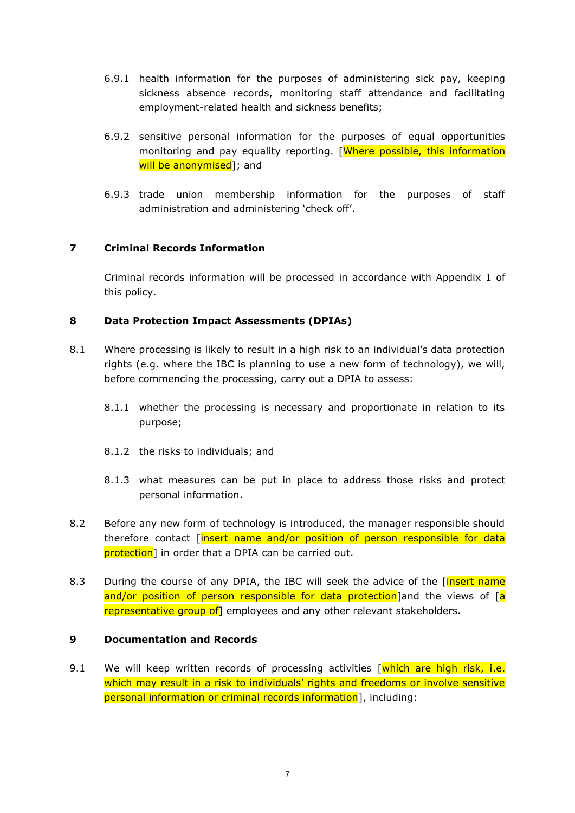- 6.9.1 health information for the purposes of administering sick pay, keeping sickness absence records, monitoring staff attendance and facilitating employment-related health and sickness benefits;
- 6.9.2 sensitive personal information for the purposes of equal opportunities monitoring and pay equality reporting. [Where possible, this information will be anonymised l; and
- 6.9.3 trade union membership information for the purposes of staff administration and administering 'check off'.

# **7 Criminal Records Information**

Criminal records information will be processed in accordance with Appendix 1 of this policy.

## **8 Data Protection Impact Assessments (DPIAs)**

- 8.1 Where processing is likely to result in a high risk to an individual's data protection rights (e.g. where the IBC is planning to use a new form of technology), we will, before commencing the processing, carry out a DPIA to assess:
	- 8.1.1 whether the processing is necessary and proportionate in relation to its purpose;
	- 8.1.2 the risks to individuals; and
	- 8.1.3 what measures can be put in place to address those risks and protect personal information.
- 8.2 Before any new form of technology is introduced, the manager responsible should therefore contact [insert name and/or position of person responsible for data **protection**] in order that a DPIA can be carried out.
- 8.3 During the course of any DPIA, the IBC will seek the advice of the [insert name and/or position of person responsible for data protection and the views of [a] representative group of employees and any other relevant stakeholders.

## **9 Documentation and Records**

9.1 We will keep written records of processing activities  $\sqrt{\frac{m}{\cosh n}}$  are high risk, i.e. which may result in a risk to individuals' rights and freedoms or involve sensitive personal information or criminal records information], including: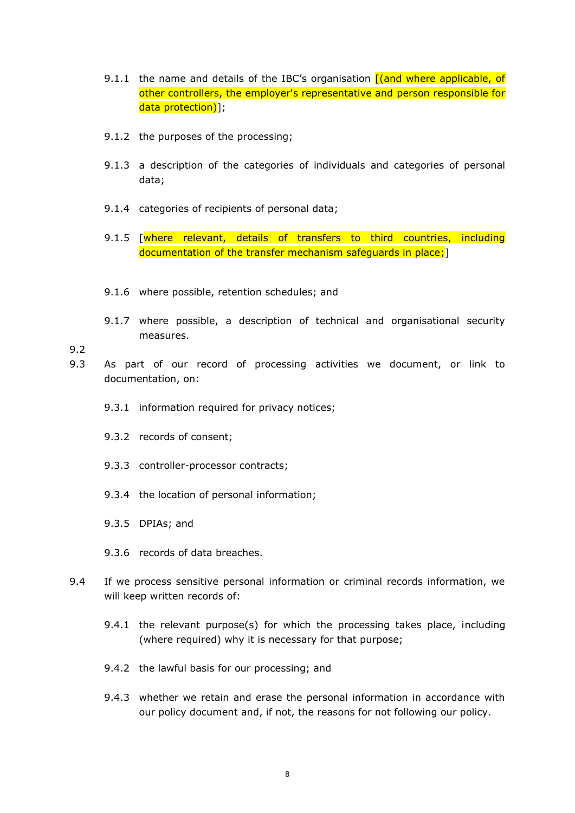- 9.1.1 the name and details of the IBC's organisation  $f$  (and where applicable, of other controllers, the employer's representative and person responsible for data protection)];
- 9.1.2 the purposes of the processing;
- 9.1.3 a description of the categories of individuals and categories of personal data;
- 9.1.4 categories of recipients of personal data;
- 9.1.5 [where relevant, details of transfers to third countries, including documentation of the transfer mechanism safeguards in place;]
- 9.1.6 where possible, retention schedules; and
- 9.1.7 where possible, a description of technical and organisational security measures.

9.2

- 9.3 As part of our record of processing activities we document, or link to documentation, on:
	- 9.3.1 information required for privacy notices;
	- 9.3.2 records of consent;
	- 9.3.3 controller-processor contracts;
	- 9.3.4 the location of personal information;
	- 9.3.5 DPIAs; and
	- 9.3.6 records of data breaches.
- 9.4 If we process sensitive personal information or criminal records information, we will keep written records of:
	- 9.4.1 the relevant purpose(s) for which the processing takes place, including (where required) why it is necessary for that purpose;
	- 9.4.2 the lawful basis for our processing; and
	- 9.4.3 whether we retain and erase the personal information in accordance with our policy document and, if not, the reasons for not following our policy.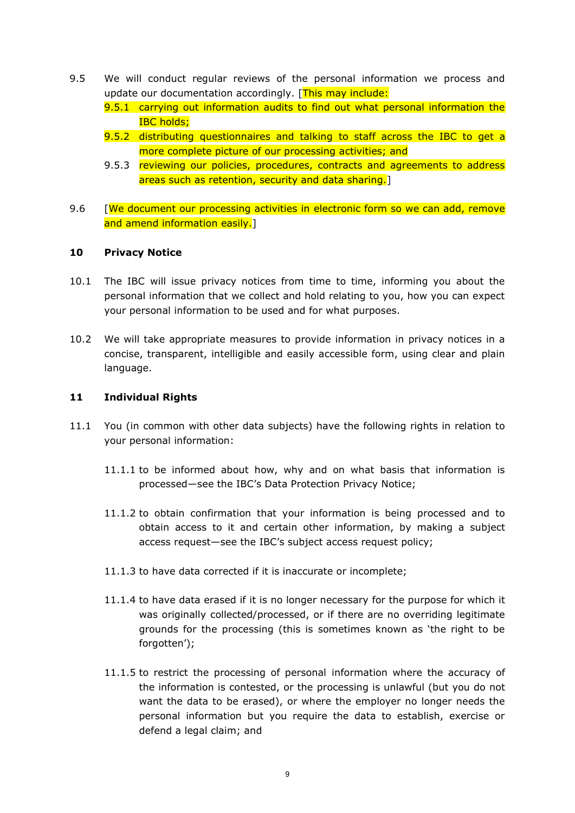- 9.5 We will conduct regular reviews of the personal information we process and update our documentation accordingly. [This may include:
	- 9.5.1 carrying out information audits to find out what personal information the IBC holds;
	- 9.5.2 distributing questionnaires and talking to staff across the IBC to get a more complete picture of our processing activities; and
	- 9.5.3 reviewing our policies, procedures, contracts and agreements to address areas such as retention, security and data sharing.]
- 9.6 [We document our processing activities in electronic form so we can add, remove and amend information easily.]

### **10 Privacy Notice**

- 10.1 The IBC will issue privacy notices from time to time, informing you about the personal information that we collect and hold relating to you, how you can expect your personal information to be used and for what purposes.
- 10.2 We will take appropriate measures to provide information in privacy notices in a concise, transparent, intelligible and easily accessible form, using clear and plain language.

### **11 Individual Rights**

- <span id="page-8-1"></span><span id="page-8-0"></span>11.1 You (in common with other data subjects) have the following rights in relation to your personal information:
	- 11.1.1 to be informed about how, why and on what basis that information is processed—see the IBC's Data Protection Privacy Notice;
	- 11.1.2 to obtain confirmation that your information is being processed and to obtain access to it and certain other information, by making a subject access request—see the IBC's subject access request policy;
	- 11.1.3 to have data corrected if it is inaccurate or incomplete;
	- 11.1.4 to have data erased if it is no longer necessary for the purpose for which it was originally collected/processed, or if there are no overriding legitimate grounds for the processing (this is sometimes known as 'the right to be forgotten');
	- 11.1.5 to restrict the processing of personal information where the accuracy of the information is contested, or the processing is unlawful (but you do not want the data to be erased), or where the employer no longer needs the personal information but you require the data to establish, exercise or defend a legal claim; and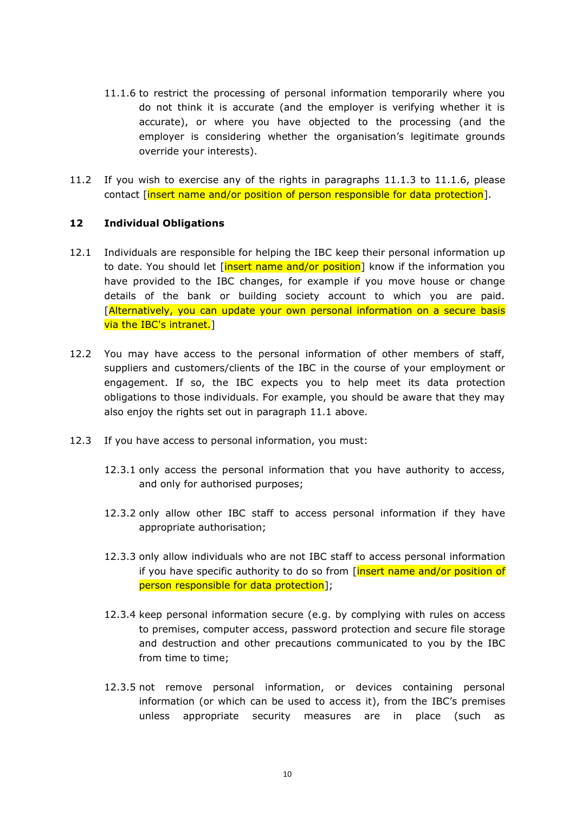- <span id="page-9-0"></span>11.1.6 to restrict the processing of personal information temporarily where you do not think it is accurate (and the employer is verifying whether it is accurate), or where you have objected to the processing (and the employer is considering whether the organisation's legitimate grounds override your interests).
- 11.2 If you wish to exercise any of the rights in paragraphs [11.1.3](#page-8-0) to [11.1.6,](#page-9-0) please contact [insert name and/or position of person responsible for data protection].

### **12 Individual Obligations**

- 12.1 Individuals are responsible for helping the IBC keep their personal information up to date. You should let [insert name and/or position] know if the information you have provided to the IBC changes, for example if you move house or change details of the bank or building society account to which you are paid. [Alternatively, you can update your own personal information on a secure basis via the IBC's intranet.]
- 12.2 You may have access to the personal information of other members of staff, suppliers and customers/clients of the IBC in the course of your employment or engagement. If so, the IBC expects you to help meet its data protection obligations to those individuals. For example, you should be aware that they may also enjoy the rights set out in paragraph [11.1](#page-8-1) above.
- 12.3 If you have access to personal information, you must:
	- 12.3.1 only access the personal information that you have authority to access, and only for authorised purposes;
	- 12.3.2 only allow other IBC staff to access personal information if they have appropriate authorisation;
	- 12.3.3 only allow individuals who are not IBC staff to access personal information if you have specific authority to do so from [insert name and/or position of person responsible for data protection];
	- 12.3.4 keep personal information secure (e.g. by complying with rules on access to premises, computer access, password protection and secure file storage and destruction and other precautions communicated to you by the IBC from time to time;
	- 12.3.5 not remove personal information, or devices containing personal information (or which can be used to access it), from the IBC's premises unless appropriate security measures are in place (such as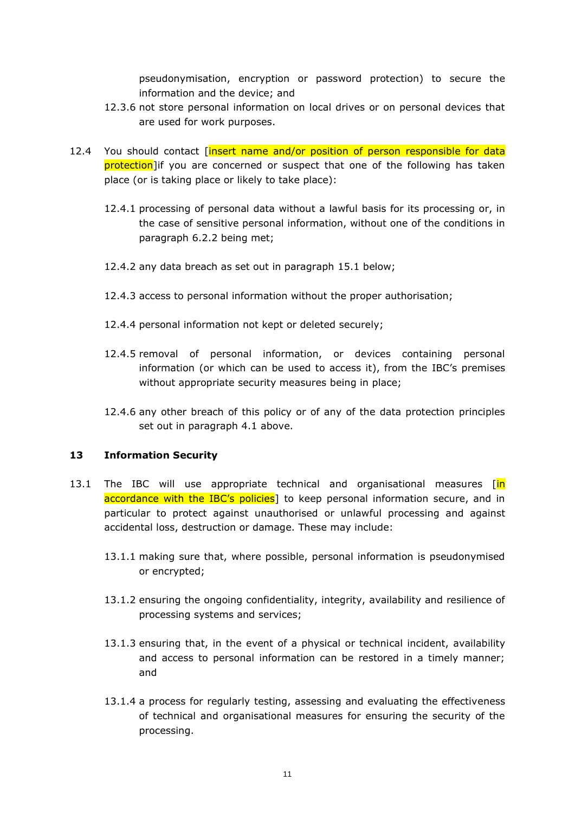pseudonymisation, encryption or password protection) to secure the information and the device; and

- 12.3.6 not store personal information on local drives or on personal devices that are used for work purposes.
- 12.4 You should contact [insert name and/or position of person responsible for data protection lif you are concerned or suspect that one of the following has taken place (or is taking place or likely to take place):
	- 12.4.1 processing of personal data without a lawful basis for its processing or, in the case of sensitive personal information, without one of the conditions in paragraph [6.2.2](#page-4-0) being met;
	- 12.4.2 any data breach as set out in paragraph [15.1](#page-12-0) below;
	- 12.4.3 access to personal information without the proper authorisation;
	- 12.4.4 personal information not kept or deleted securely;
	- 12.4.5 removal of personal information, or devices containing personal information (or which can be used to access it), from the IBC's premises without appropriate security measures being in place;
	- 12.4.6 any other breach of this policy or of any of the data protection principles set out in paragraph [4.1](#page-2-1) above.

## **13 Information Security**

- 13.1 The IBC will use appropriate technical and organisational measures [in] accordance with the IBC's policies] to keep personal information secure, and in particular to protect against unauthorised or unlawful processing and against accidental loss, destruction or damage. These may include:
	- 13.1.1 making sure that, where possible, personal information is pseudonymised or encrypted;
	- 13.1.2 ensuring the ongoing confidentiality, integrity, availability and resilience of processing systems and services;
	- 13.1.3 ensuring that, in the event of a physical or technical incident, availability and access to personal information can be restored in a timely manner; and
	- 13.1.4 a process for regularly testing, assessing and evaluating the effectiveness of technical and organisational measures for ensuring the security of the processing.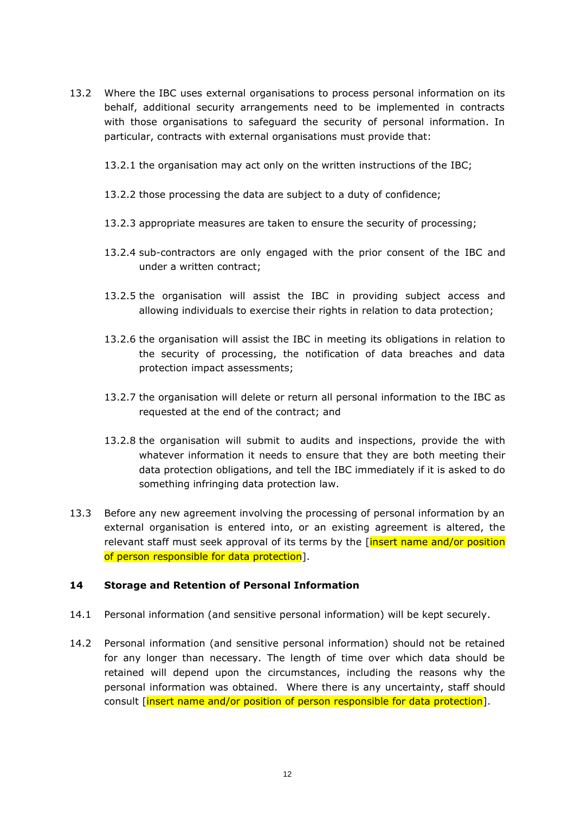- 13.2 Where the IBC uses external organisations to process personal information on its behalf, additional security arrangements need to be implemented in contracts with those organisations to safeguard the security of personal information. In particular, contracts with external organisations must provide that:
	- 13.2.1 the organisation may act only on the written instructions of the IBC;
	- 13.2.2 those processing the data are subject to a duty of confidence;
	- 13.2.3 appropriate measures are taken to ensure the security of processing;
	- 13.2.4 sub-contractors are only engaged with the prior consent of the IBC and under a written contract;
	- 13.2.5 the organisation will assist the IBC in providing subject access and allowing individuals to exercise their rights in relation to data protection;
	- 13.2.6 the organisation will assist the IBC in meeting its obligations in relation to the security of processing, the notification of data breaches and data protection impact assessments;
	- 13.2.7 the organisation will delete or return all personal information to the IBC as requested at the end of the contract; and
	- 13.2.8 the organisation will submit to audits and inspections, provide the with whatever information it needs to ensure that they are both meeting their data protection obligations, and tell the IBC immediately if it is asked to do something infringing data protection law.
- 13.3 Before any new agreement involving the processing of personal information by an external organisation is entered into, or an existing agreement is altered, the relevant staff must seek approval of its terms by the [insert name and/or position of person responsible for data protection].

#### **14 Storage and Retention of Personal Information**

- 14.1 Personal information (and sensitive personal information) will be kept securely.
- 14.2 Personal information (and sensitive personal information) should not be retained for any longer than necessary. The length of time over which data should be retained will depend upon the circumstances, including the reasons why the personal information was obtained. Where there is any uncertainty, staff should consult [insert name and/or position of person responsible for data protection].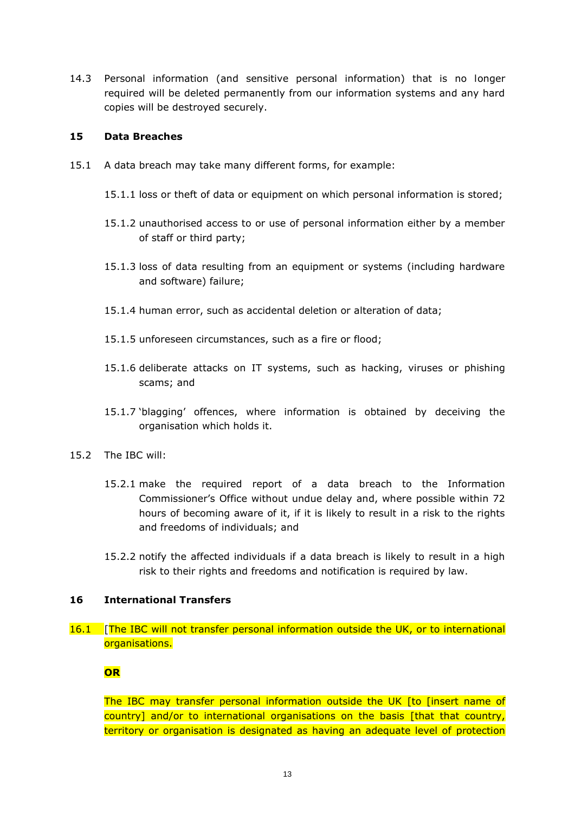14.3 Personal information (and sensitive personal information) that is no longer required will be deleted permanently from our information systems and any hard copies will be destroyed securely.

### **15 Data Breaches**

- <span id="page-12-0"></span>15.1 A data breach may take many different forms, for example:
	- 15.1.1 loss or theft of data or equipment on which personal information is stored;
	- 15.1.2 unauthorised access to or use of personal information either by a member of staff or third party;
	- 15.1.3 loss of data resulting from an equipment or systems (including hardware and software) failure;
	- 15.1.4 human error, such as accidental deletion or alteration of data;
	- 15.1.5 unforeseen circumstances, such as a fire or flood;
	- 15.1.6 deliberate attacks on IT systems, such as hacking, viruses or phishing scams; and
	- 15.1.7 'blagging' offences, where information is obtained by deceiving the organisation which holds it.
- 15.2 The IBC will:
	- 15.2.1 make the required report of a data breach to the Information Commissioner's Office without undue delay and, where possible within 72 hours of becoming aware of it, if it is likely to result in a risk to the rights and freedoms of individuals; and
	- 15.2.2 notify the affected individuals if a data breach is likely to result in a high risk to their rights and freedoms and notification is required by law.

### **16 International Transfers**

16.1 [The IBC will not transfer personal information outside the UK, or to international organisations.

## **OR**

The IBC may transfer personal information outside the UK [to [insert name of country] and/or to international organisations on the basis [that that country, territory or organisation is designated as having an adequate level of protection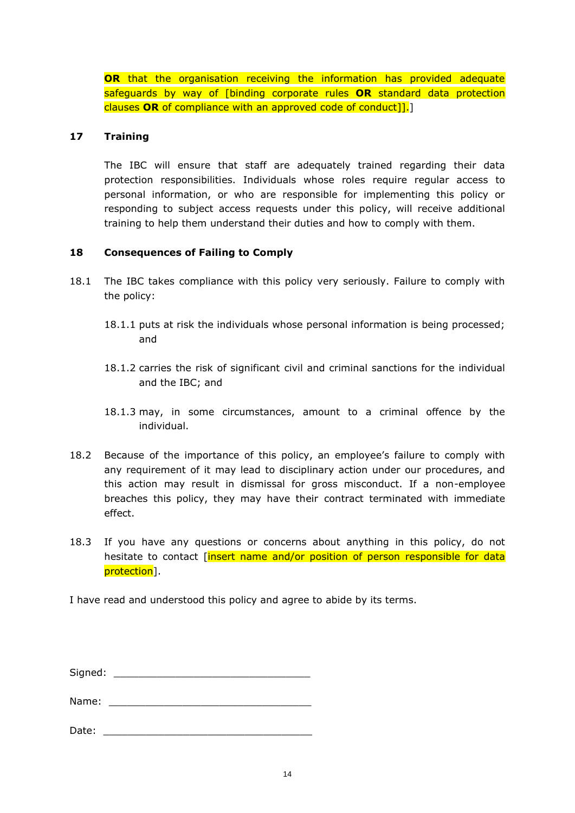**OR** that the organisation receiving the information has provided adequate safeguards by way of [binding corporate rules **OR** standard data protection clauses **OR** of compliance with an approved code of conduct]].]

### **17 Training**

The IBC will ensure that staff are adequately trained regarding their data protection responsibilities. Individuals whose roles require regular access to personal information, or who are responsible for implementing this policy or responding to subject access requests under this policy, will receive additional training to help them understand their duties and how to comply with them.

### **18 Consequences of Failing to Comply**

- 18.1 The IBC takes compliance with this policy very seriously. Failure to comply with the policy:
	- 18.1.1 puts at risk the individuals whose personal information is being processed; and
	- 18.1.2 carries the risk of significant civil and criminal sanctions for the individual and the IBC; and
	- 18.1.3 may, in some circumstances, amount to a criminal offence by the individual.
- 18.2 Because of the importance of this policy, an employee's failure to comply with any requirement of it may lead to disciplinary action under our procedures, and this action may result in dismissal for gross misconduct. If a non-employee breaches this policy, they may have their contract terminated with immediate effect.
- 18.3 If you have any questions or concerns about anything in this policy, do not hesitate to contact [insert name and/or position of person responsible for data protection].

I have read and understood this policy and agree to abide by its terms.

Signed: \_\_\_\_\_\_\_\_\_\_\_\_\_\_\_\_\_\_\_\_\_\_\_\_\_\_\_\_\_\_\_\_

Name:

Date: \_\_\_\_\_\_\_\_\_\_\_\_\_\_\_\_\_\_\_\_\_\_\_\_\_\_\_\_\_\_\_\_\_\_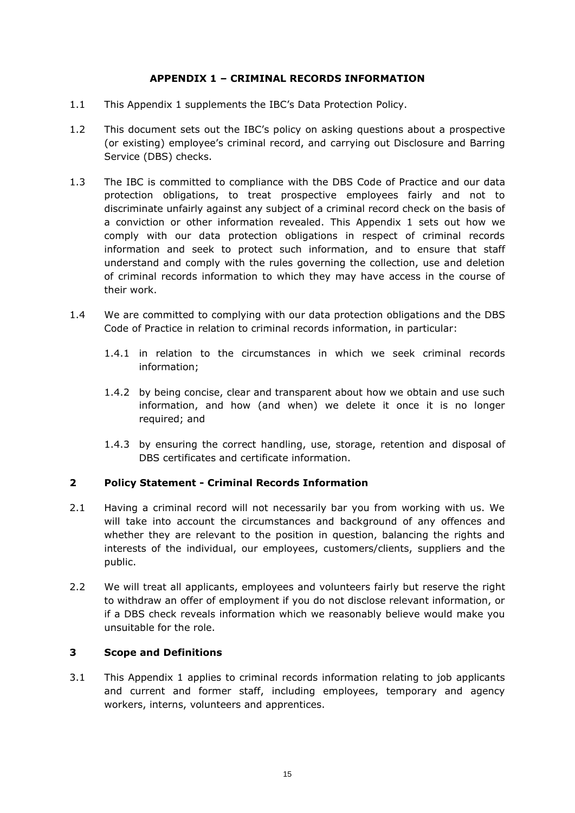# **APPENDIX 1 – CRIMINAL RECORDS INFORMATION**

- 1.1 This Appendix 1 supplements the IBC's Data Protection Policy.
- 1.2 This document sets out the IBC's policy on asking questions about a prospective (or existing) employee's criminal record, and carrying out Disclosure and Barring Service (DBS) checks.
- 1.3 The IBC is committed to compliance with the DBS Code of Practice and our data protection obligations, to treat prospective employees fairly and not to discriminate unfairly against any subject of a criminal record check on the basis of a conviction or other information revealed. This Appendix 1 sets out how we comply with our data protection obligations in respect of criminal records information and seek to protect such information, and to ensure that staff understand and comply with the rules governing the collection, use and deletion of criminal records information to which they may have access in the course of their work.
- 1.4 We are committed to complying with our data protection obligations and the DBS Code of Practice in relation to criminal records information, in particular:
	- 1.4.1 in relation to the circumstances in which we seek criminal records information;
	- 1.4.2 by being concise, clear and transparent about how we obtain and use such information, and how (and when) we delete it once it is no longer required; and
	- 1.4.3 by ensuring the correct handling, use, storage, retention and disposal of DBS certificates and certificate information.

## **2 Policy Statement - Criminal Records Information**

- 2.1 Having a criminal record will not necessarily bar you from working with us. We will take into account the circumstances and background of any offences and whether they are relevant to the position in question, balancing the rights and interests of the individual, our employees, customers/clients, suppliers and the public.
- 2.2 We will treat all applicants, employees and volunteers fairly but reserve the right to withdraw an offer of employment if you do not disclose relevant information, or if a DBS check reveals information which we reasonably believe would make you unsuitable for the role.

## **3 Scope and Definitions**

3.1 This Appendix 1 applies to criminal records information relating to job applicants and current and former staff, including employees, temporary and agency workers, interns, volunteers and apprentices.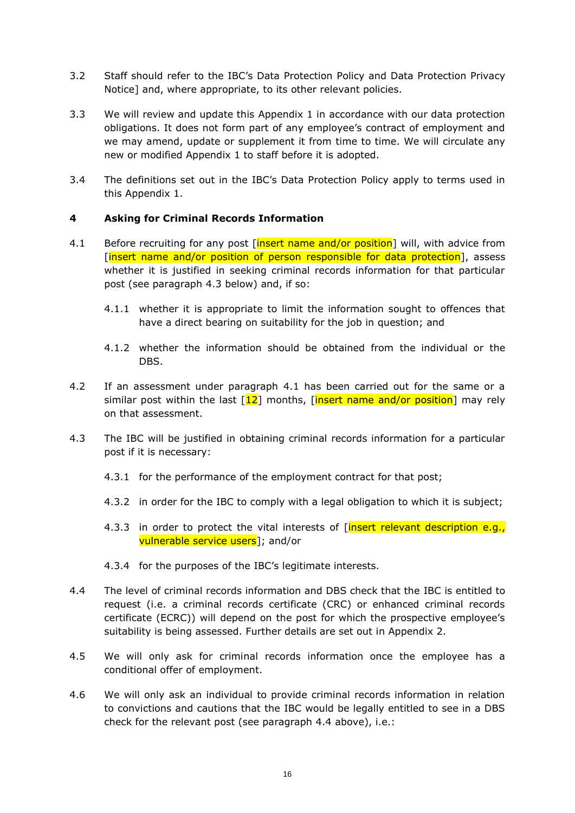- 3.2 Staff should refer to the IBC's Data Protection Policy and Data Protection Privacy Notice] and, where appropriate, to its other relevant policies.
- 3.3 We will review and update this Appendix 1 in accordance with our data protection obligations. It does not form part of any employee's contract of employment and we may amend, update or supplement it from time to time. We will circulate any new or modified Appendix 1 to staff before it is adopted.
- 3.4 The definitions set out in the IBC's Data Protection Policy apply to terms used in this Appendix 1.

## **4 Asking for Criminal Records Information**

- <span id="page-15-1"></span>4.1 Before recruiting for any post [insert name and/or position] will, with advice from [insert name and/or position of person responsible for data protection], assess whether it is justified in seeking criminal records information for that particular post (see paragraph [4.3](#page-15-0) below) and, if so:
	- 4.1.1 whether it is appropriate to limit the information sought to offences that have a direct bearing on suitability for the job in question; and
	- 4.1.2 whether the information should be obtained from the individual or the DBS.
- 4.2 If an assessment under paragraph [4.1](#page-15-1) has been carried out for the same or a similar post within the last  $\lceil 12 \rceil$  months,  $\lceil$ insert name and/or position] may rely on that assessment.
- <span id="page-15-0"></span>4.3 The IBC will be justified in obtaining criminal records information for a particular post if it is necessary:
	- 4.3.1 for the performance of the employment contract for that post;
	- 4.3.2 in order for the IBC to comply with a legal obligation to which it is subject;
	- 4.3.3 in order to protect the vital interests of [insert relevant description e.g., vulnerable service users]; and/or
	- 4.3.4 for the purposes of the IBC's legitimate interests.
- 4.4 The level of criminal records information and DBS check that the IBC is entitled to request (i.e. a criminal records certificate (CRC) or enhanced criminal records certificate (ECRC)) will depend on the post for which the prospective employee's suitability is being assessed. Further details are set out in Appendix 2.
- <span id="page-15-2"></span>4.5 We will only ask for criminal records information once the employee has a conditional offer of employment.
- 4.6 We will only ask an individual to provide criminal records information in relation to convictions and cautions that the IBC would be legally entitled to see in a DBS check for the relevant post (see paragraph [4.4](#page-15-2) above), i.e.: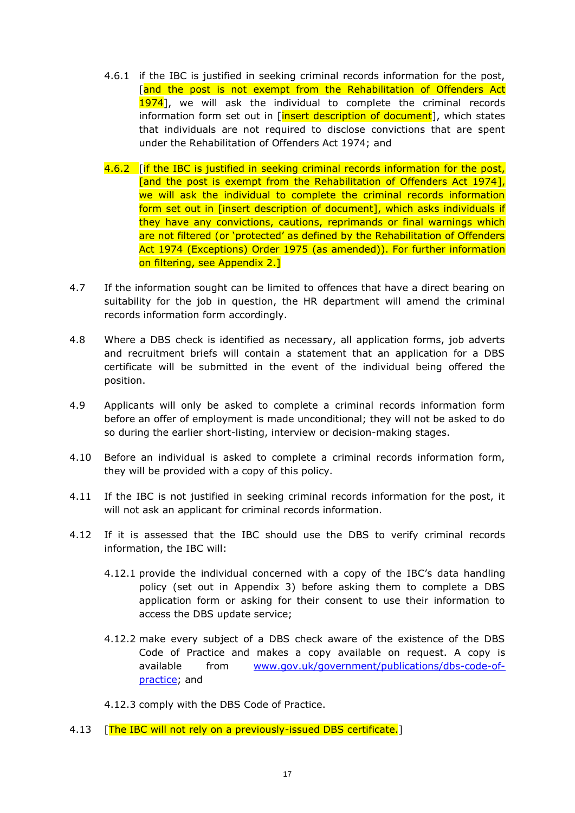- 4.6.1 if the IBC is justified in seeking criminal records information for the post, [and the post is not exempt from the Rehabilitation of Offenders Act 1974], we will ask the individual to complete the criminal records information form set out in [insert description of document], which states that individuals are not required to disclose convictions that are spent under the Rehabilitation of Offenders Act 1974; and
- 4.6.2 **Fif the IBC is justified in seeking criminal records information for the post,** [and the post is exempt from the Rehabilitation of Offenders Act 1974], we will ask the individual to complete the criminal records information form set out in [insert description of document], which asks individuals if they have any convictions, cautions, reprimands or final warnings which are not filtered (or 'protected' as defined by the Rehabilitation of Offenders Act 1974 (Exceptions) Order 1975 (as amended)). For further information on filtering, see Appendix 2.]
- 4.7 If the information sought can be limited to offences that have a direct bearing on suitability for the job in question, the HR department will amend the criminal records information form accordingly.
- 4.8 Where a DBS check is identified as necessary, all application forms, job adverts and recruitment briefs will contain a statement that an application for a DBS certificate will be submitted in the event of the individual being offered the position.
- 4.9 Applicants will only be asked to complete a criminal records information form before an offer of employment is made unconditional; they will not be asked to do so during the earlier short-listing, interview or decision-making stages.
- 4.10 Before an individual is asked to complete a criminal records information form, they will be provided with a copy of this policy.
- 4.11 If the IBC is not justified in seeking criminal records information for the post, it will not ask an applicant for criminal records information.
- 4.12 If it is assessed that the IBC should use the DBS to verify criminal records information, the IBC will:
	- 4.12.1 provide the individual concerned with a copy of the IBC's data handling policy (set out in Appendix 3) before asking them to complete a DBS application form or asking for their consent to use their information to access the DBS update service;
	- 4.12.2 make every subject of a DBS check aware of the existence of the DBS Code of Practice and makes a copy available on request. A copy is available from [www.gov.uk/government/publications/dbs-code-of](http://www.gov.uk/government/publications/dbs-code-of-practice)[practice;](http://www.gov.uk/government/publications/dbs-code-of-practice) and

4.12.3 comply with the DBS Code of Practice.

4.13 **[The IBC will not rely on a previously-issued DBS certificate.]**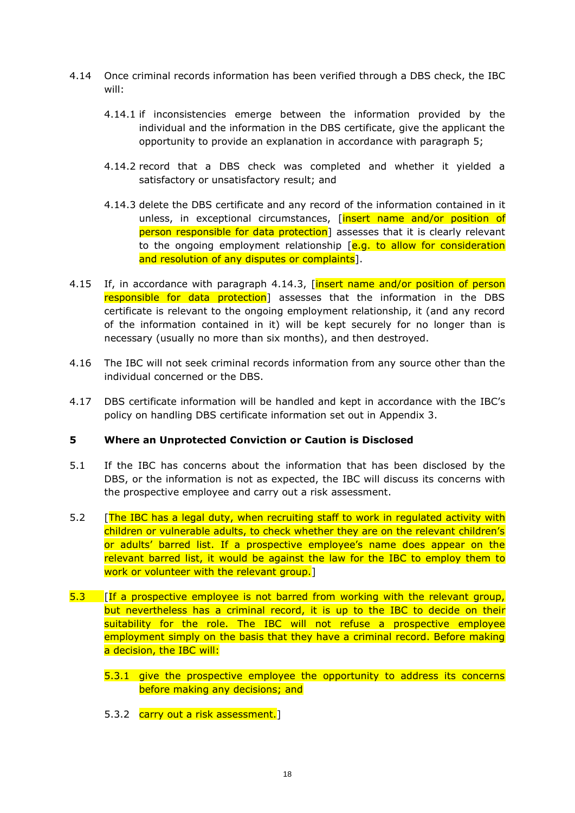- 4.14 Once criminal records information has been verified through a DBS check, the IBC will:
	- 4.14.1 if inconsistencies emerge between the information provided by the individual and the information in the DBS certificate, give the applicant the opportunity to provide an explanation in accordance with paragraph [5;](#page-17-0)
	- 4.14.2 record that a DBS check was completed and whether it yielded a satisfactory or unsatisfactory result; and
	- 4.14.3 delete the DBS certificate and any record of the information contained in it unless, in exceptional circumstances, *[insert name and/or position of* person responsible for data protection] assesses that it is clearly relevant to the ongoing employment relationship  $[e.g.$  to allow for consideration and resolution of any disputes or complaints].
- <span id="page-17-1"></span>4.15 If, in accordance with paragraph [4.14.3,](#page-17-1) **[insert name and/or position of person** responsible for data protection] assesses that the information in the DBS certificate is relevant to the ongoing employment relationship, it (and any record of the information contained in it) will be kept securely for no longer than is necessary (usually no more than six months), and then destroyed.
- 4.16 The IBC will not seek criminal records information from any source other than the individual concerned or the DBS.
- 4.17 DBS certificate information will be handled and kept in accordance with the IBC's policy on handling DBS certificate information set out in Appendix 3.

## <span id="page-17-0"></span>**5 Where an Unprotected Conviction or Caution is Disclosed**

- 5.1 If the IBC has concerns about the information that has been disclosed by the DBS, or the information is not as expected, the IBC will discuss its concerns with the prospective employee and carry out a risk assessment.
- 5.2 [The IBC has a legal duty, when recruiting staff to work in regulated activity with children or vulnerable adults, to check whether they are on the relevant children's or adults' barred list. If a prospective employee's name does appear on the relevant barred list, it would be against the law for the IBC to employ them to work or volunteer with the relevant group.
- 5.3 **If a prospective employee is not barred from working with the relevant group,** but nevertheless has a criminal record, it is up to the IBC to decide on their suitability for the role. The IBC will not refuse a prospective employee employment simply on the basis that they have a criminal record. Before making a decision, the IBC will:
	- 5.3.1 give the prospective employee the opportunity to address its concerns before making any decisions; and
	- 5.3.2 carry out a risk assessment.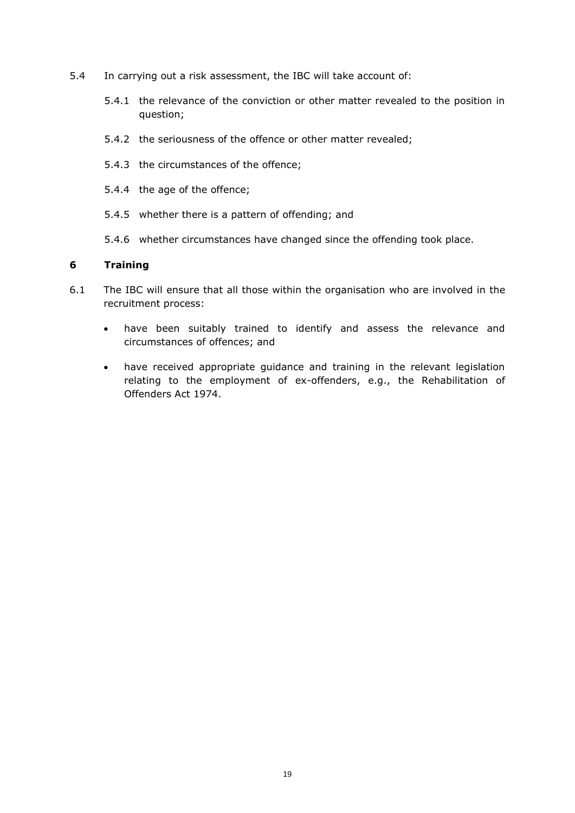- 5.4 In carrying out a risk assessment, the IBC will take account of:
	- 5.4.1 the relevance of the conviction or other matter revealed to the position in question;
	- 5.4.2 the seriousness of the offence or other matter revealed;
	- 5.4.3 the circumstances of the offence;
	- 5.4.4 the age of the offence;
	- 5.4.5 whether there is a pattern of offending; and
	- 5.4.6 whether circumstances have changed since the offending took place.

### **6 Training**

- 6.1 The IBC will ensure that all those within the organisation who are involved in the recruitment process:
	- have been suitably trained to identify and assess the relevance and circumstances of offences; and
	- have received appropriate guidance and training in the relevant legislation relating to the employment of ex-offenders, e.g., the Rehabilitation of Offenders Act 1974.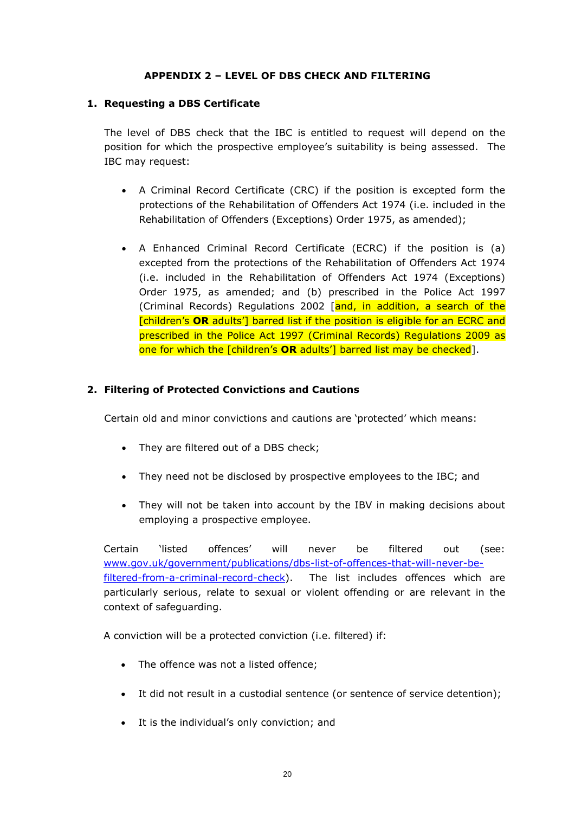## **APPENDIX 2 – LEVEL OF DBS CHECK AND FILTERING**

### **1. Requesting a DBS Certificate**

The level of DBS check that the IBC is entitled to request will depend on the position for which the prospective employee's suitability is being assessed. The IBC may request:

- A Criminal Record Certificate (CRC) if the position is excepted form the protections of the Rehabilitation of Offenders Act 1974 (i.e. included in the Rehabilitation of Offenders (Exceptions) Order 1975, as amended);
- A Enhanced Criminal Record Certificate (ECRC) if the position is (a) excepted from the protections of the Rehabilitation of Offenders Act 1974 (i.e. included in the Rehabilitation of Offenders Act 1974 (Exceptions) Order 1975, as amended; and (b) prescribed in the Police Act 1997 (Criminal Records) Regulations 2002 [and, in addition, a search of the [children's **OR** adults'] barred list if the position is eligible for an ECRC and prescribed in the Police Act 1997 (Criminal Records) Regulations 2009 as one for which the [children's **OR** adults'] barred list may be checked].

## **2. Filtering of Protected Convictions and Cautions**

Certain old and minor convictions and cautions are 'protected' which means:

- They are filtered out of a DBS check;
- They need not be disclosed by prospective employees to the IBC; and
- They will not be taken into account by the IBV in making decisions about employing a prospective employee.

Certain 'listed offences' will never be filtered out (see: [www.gov.uk/government/publications/dbs-list-of-offences-that-will-never-be](http://www.gov.uk/government/publications/dbs-list-of-offences-that-will-never-be-filtered-from-a-criminal-record-check)[filtered-from-a-criminal-record-check\)](http://www.gov.uk/government/publications/dbs-list-of-offences-that-will-never-be-filtered-from-a-criminal-record-check). The list includes offences which are particularly serious, relate to sexual or violent offending or are relevant in the context of safeguarding.

A conviction will be a protected conviction (i.e. filtered) if:

- The offence was not a listed offence;
- It did not result in a custodial sentence (or sentence of service detention);
- It is the individual's only conviction; and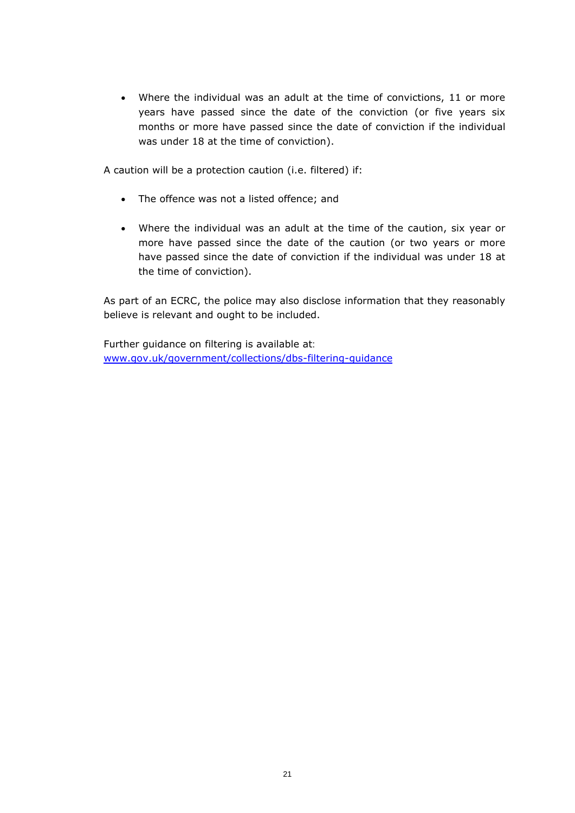• Where the individual was an adult at the time of convictions, 11 or more years have passed since the date of the conviction (or five years six months or more have passed since the date of conviction if the individual was under 18 at the time of conviction).

A caution will be a protection caution (i.e. filtered) if:

- The offence was not a listed offence; and
- Where the individual was an adult at the time of the caution, six year or more have passed since the date of the caution (or two years or more have passed since the date of conviction if the individual was under 18 at the time of conviction).

As part of an ECRC, the police may also disclose information that they reasonably believe is relevant and ought to be included.

Further guidance on filtering is available at: [www.gov.uk/government/collections/dbs-filtering-guidance](http://www.gov.uk/government/collections/dbs-filtering-guidance)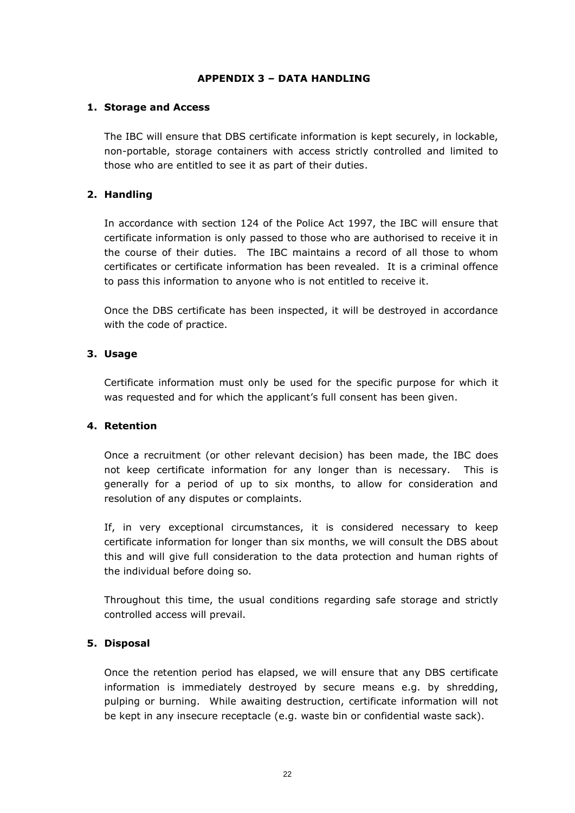### **APPENDIX 3 – DATA HANDLING**

### **1. Storage and Access**

The IBC will ensure that DBS certificate information is kept securely, in lockable, non-portable, storage containers with access strictly controlled and limited to those who are entitled to see it as part of their duties.

## **2. Handling**

In accordance with section 124 of the Police Act 1997, the IBC will ensure that certificate information is only passed to those who are authorised to receive it in the course of their duties. The IBC maintains a record of all those to whom certificates or certificate information has been revealed. It is a criminal offence to pass this information to anyone who is not entitled to receive it.

Once the DBS certificate has been inspected, it will be destroyed in accordance with the code of practice.

## **3. Usage**

Certificate information must only be used for the specific purpose for which it was requested and for which the applicant's full consent has been given.

#### **4. Retention**

Once a recruitment (or other relevant decision) has been made, the IBC does not keep certificate information for any longer than is necessary. This is generally for a period of up to six months, to allow for consideration and resolution of any disputes or complaints.

If, in very exceptional circumstances, it is considered necessary to keep certificate information for longer than six months, we will consult the DBS about this and will give full consideration to the data protection and human rights of the individual before doing so.

Throughout this time, the usual conditions regarding safe storage and strictly controlled access will prevail.

## **5. Disposal**

Once the retention period has elapsed, we will ensure that any DBS certificate information is immediately destroyed by secure means e.g. by shredding, pulping or burning. While awaiting destruction, certificate information will not be kept in any insecure receptacle (e.g. waste bin or confidential waste sack).